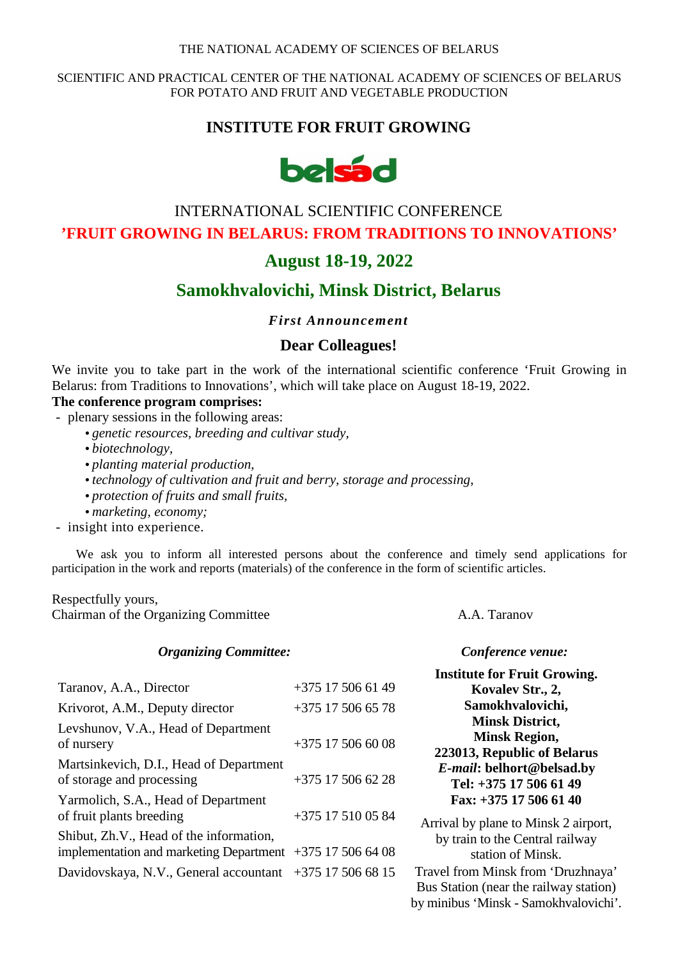#### THE NATIONAL ACADEMY OF SCIENCES OF BELARUS

#### SCIENTIFIC AND PRACTICAL CENTER OF THE NATIONAL ACADEMY OF SCIENCES OF BELARUS FOR POTATO AND FRUIT AND VEGETABLE PRODUCTION

## **INSTITUTE FOR FRUIT GROWING**



# INTERNATIONAL SCIENTIFIC CONFERENCE **'FRUIT GROWING IN BELARUS: FROM TRADITIONS TO INNOVATIONS'**

# **August 18-19, 2022**

# **Samokhvalovichi, Minsk District, Belarus**

 *First Announcement* 

### **Dear Colleagues!**

We invite you to take part in the work of the international scientific conference 'Fruit Growing in Belarus: from Traditions to Innovations', which will take place on August 18-19, 2022.

### **The conference program comprises:**

- plenary sessions in the following areas:

- *genetic resources, breeding and cultivar study,*
- *biotechnology,*
- *planting material production,*
- *technology of cultivation and fruit and berry, storage and processing,*
- *protection of fruits and small fruits,*
- *marketing, economy;*
- insight into experience.

We ask you to inform all interested persons about the conference and timely send applications for participation in the work and reports (materials) of the conference in the form of scientific articles.

#### Respectfully yours, Chairman of the Organizing Committee **A.A.** Taranov

#### *Organizing Committee: Conference venue:*

|                                                             |                     | <b>Institute for Fruit Growing.</b>    |
|-------------------------------------------------------------|---------------------|----------------------------------------|
| Taranov, A.A., Director                                     | +375 17 506 61 49   | Kovalev Str., 2,                       |
| Krivorot, A.M., Deputy director                             | $+375$ 17 506 65 78 | Samokhvalovichi,                       |
| Levshunov, V.A., Head of Department                         |                     | <b>Minsk District,</b>                 |
| of nursery                                                  | $+375$ 17 506 60 08 | <b>Minsk Region,</b>                   |
|                                                             |                     | 223013, Republic of Belarus            |
| Martsinkevich, D.I., Head of Department                     |                     | E-mail: belhort@belsad.by              |
| of storage and processing                                   | $+375$ 17 506 62 28 | Tel: +375 17 506 61 49                 |
| Yarmolich, S.A., Head of Department                         |                     | Fax: +375 17 506 61 40                 |
| of fruit plants breeding                                    | +375 17 510 05 84   | Arrival by plane to Minsk 2 airport,   |
| Shibut, Zh.V., Head of the information,                     |                     | by train to the Central railway        |
| implementation and marketing Department $+375$ 17 506 64 08 |                     | station of Minsk.                      |
| Davidovskaya, N.V., General accountant +375 17 506 68 15    |                     | Travel from Minsk from 'Druzhnaya'     |
|                                                             |                     | Rue Station (near the railway station) |

Bus Station (near the railway station) by minibus 'Minsk - Samokhvalovichi'.